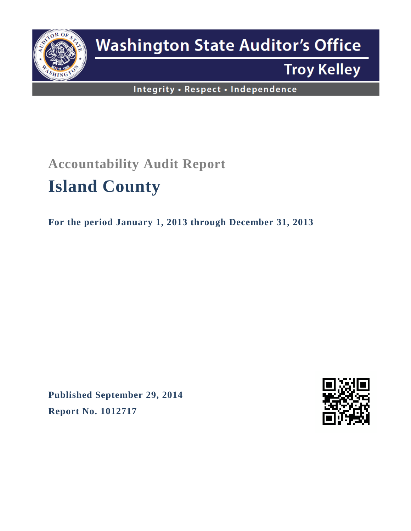

# **Washington State Auditor's Office**

# **Troy Kelley**

Integrity . Respect . Independence

# **Accountability Audit Report Island County**

**For the period January 1, 2013 through December 31, 2013**

**Published September 29, 2014 Report No. 1012717**

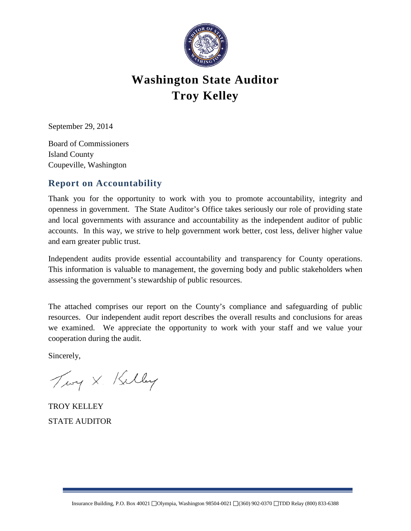

# **Washington State Auditor Troy Kelley**

September 29, 2014

Board of Commissioners Island County Coupeville, Washington

## **Report on Accountability**

Thank you for the opportunity to work with you to promote accountability, integrity and openness in government. The State Auditor's Office takes seriously our role of providing state and local governments with assurance and accountability as the independent auditor of public accounts. In this way, we strive to help government work better, cost less, deliver higher value and earn greater public trust.

Independent audits provide essential accountability and transparency for County operations. This information is valuable to management, the governing body and public stakeholders when assessing the government's stewardship of public resources.

The attached comprises our report on the County's compliance and safeguarding of public resources. Our independent audit report describes the overall results and conclusions for areas we examined. We appreciate the opportunity to work with your staff and we value your cooperation during the audit.

Sincerely,

Twy X. Kelley

TROY KELLEY STATE AUDITOR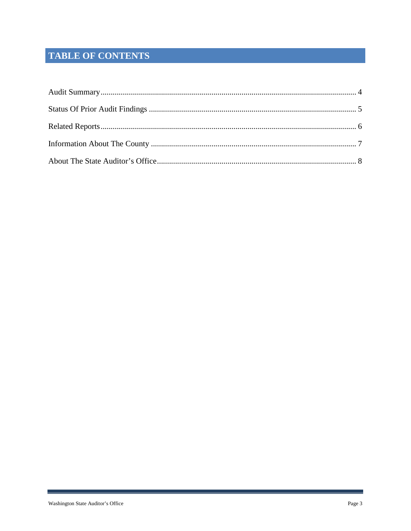# TABLE OF CONTENTS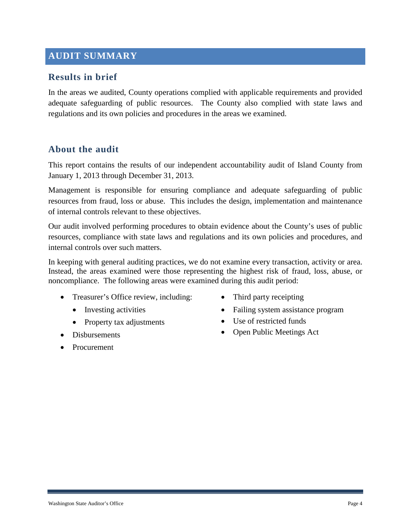# <span id="page-3-0"></span>**AUDIT SUMMARY**

### **Results in brief**

In the areas we audited, County operations complied with applicable requirements and provided adequate safeguarding of public resources. The County also complied with state laws and regulations and its own policies and procedures in the areas we examined.

#### **About the audit**

This report contains the results of our independent accountability audit of Island County from January 1, 2013 through December 31, 2013.

Management is responsible for ensuring compliance and adequate safeguarding of public resources from fraud, loss or abuse. This includes the design, implementation and maintenance of internal controls relevant to these objectives.

Our audit involved performing procedures to obtain evidence about the County's uses of public resources, compliance with state laws and regulations and its own policies and procedures, and internal controls over such matters.

In keeping with general auditing practices, we do not examine every transaction, activity or area. Instead, the areas examined were those representing the highest risk of fraud, loss, abuse, or noncompliance. The following areas were examined during this audit period:

- Treasurer's Office review, including:
	- Investing activities
	- Property tax adjustments
- Disbursements
- Procurement
- Third party receipting
- Failing system assistance program
- Use of restricted funds
- Open Public Meetings Act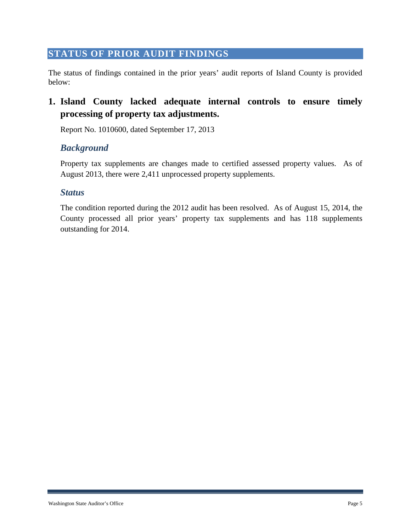### <span id="page-4-0"></span>**STATUS OF PRIOR AUDIT FINDINGS**

The status of findings contained in the prior years' audit reports of Island County is provided below:

# **1. Island County lacked adequate internal controls to ensure timely processing of property tax adjustments.**

Report No. 1010600, dated September 17, 2013

#### *Background*

Property tax supplements are changes made to certified assessed property values. As of August 2013, there were 2,411 unprocessed property supplements.

#### *Status*

The condition reported during the 2012 audit has been resolved. As of August 15, 2014, the County processed all prior years' property tax supplements and has 118 supplements outstanding for 2014.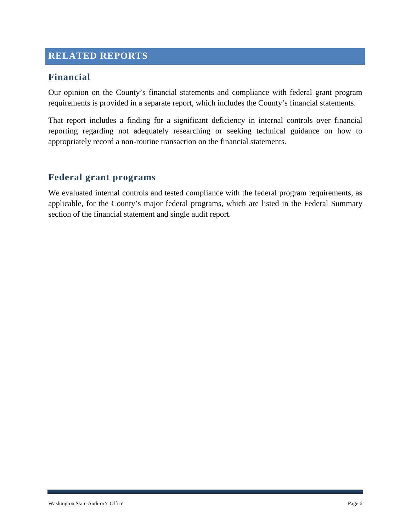# <span id="page-5-0"></span>**RELATED REPORTS**

### **Financial**

Our opinion on the County's financial statements and compliance with federal grant program requirements is provided in a separate report, which includes the County's financial statements.

That report includes a finding for a significant deficiency in internal controls over financial reporting regarding not adequately researching or seeking technical guidance on how to appropriately record a non-routine transaction on the financial statements.

#### **Federal grant programs**

We evaluated internal controls and tested compliance with the federal program requirements, as applicable, for the County's major federal programs, which are listed in the Federal Summary section of the financial statement and single audit report.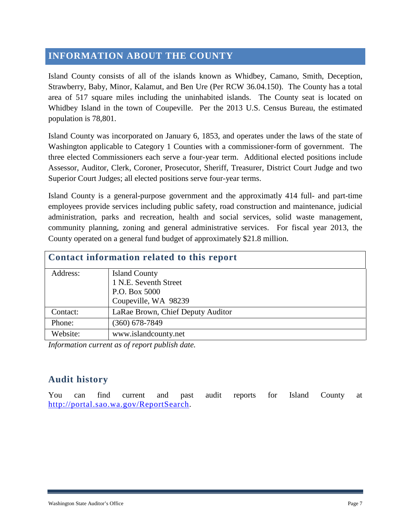## <span id="page-6-0"></span>**INFORMATION ABOUT THE COUNTY**

Island County consists of all of the islands known as Whidbey, Camano, Smith, Deception, Strawberry, Baby, Minor, Kalamut, and Ben Ure (Per RCW 36.04.150). The County has a total area of 517 square miles including the uninhabited islands. The County seat is located on Whidbey Island in the town of Coupeville. Per the 2013 U.S. Census Bureau, the estimated population is 78,801.

Island County was incorporated on January 6, 1853, and operates under the laws of the state of Washington applicable to Category 1 Counties with a commissioner-form of government. The three elected Commissioners each serve a four-year term. Additional elected positions include Assessor, Auditor, Clerk, Coroner, Prosecutor, Sheriff, Treasurer, District Court Judge and two Superior Court Judges; all elected positions serve four-year terms.

Island County is a general-purpose government and the approximatly 414 full- and part-time employees provide services including public safety, road construction and maintenance, judicial administration, parks and recreation, health and social services, solid waste management, community planning, zoning and general administrative services. For fiscal year 2013, the County operated on a general fund budget of approximately \$21.8 million.

| Contact information related to this report |                                   |  |  |
|--------------------------------------------|-----------------------------------|--|--|
| Address:                                   | <b>Island County</b>              |  |  |
|                                            | 1 N.E. Seventh Street             |  |  |
|                                            | P.O. Box 5000                     |  |  |
|                                            | Coupeville, WA 98239              |  |  |
| Contact:                                   | LaRae Brown, Chief Deputy Auditor |  |  |
| Phone:                                     | $(360) 678 - 7849$                |  |  |
| Website:                                   | www.islandcounty.net              |  |  |

*Information current as of report publish date.*

## **Audit history**

You can find current and past audit reports for Island County at [http://portal.sao.wa.gov/ReportSearch.](http://portal.sao.wa.gov/ReportSearch/?qItemType=1&qItemDesc=Island%20County&qItemValue=0123)